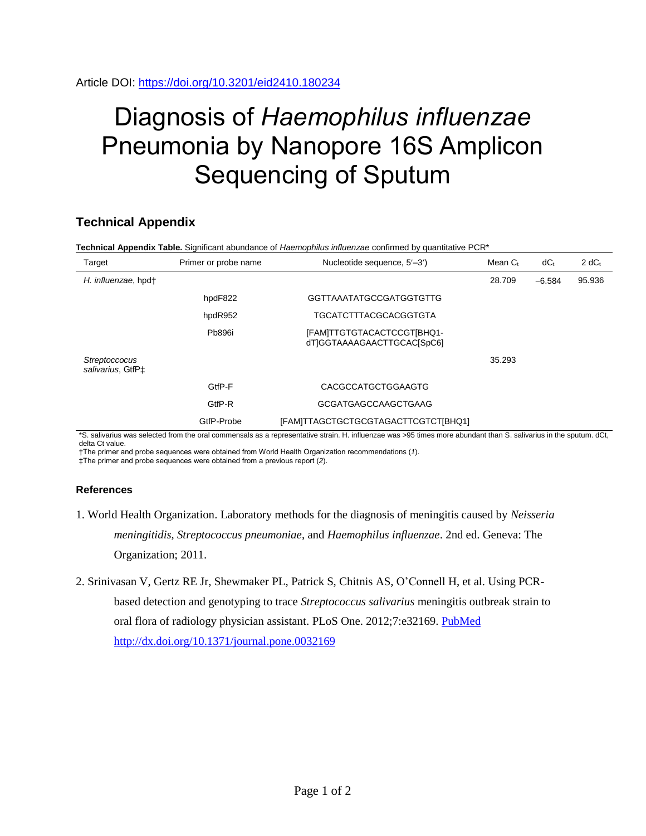## Diagnosis of *Haemophilus influenzae* Pneumonia by Nanopore 16S Amplicon Sequencing of Sputum

## **Technical Appendix**

| Target                                         | Primer or probe name | Nucleotide sequence, 5'-3')                              | Mean C <sub>t</sub> | $dC_{t}$ | 2 dC <sub>t</sub> |
|------------------------------------------------|----------------------|----------------------------------------------------------|---------------------|----------|-------------------|
| H. influenzae, hpdt                            |                      |                                                          | 28.709              | $-6.584$ | 95.936            |
|                                                | hpdF822              | <b>GGTTAAATATGCCGATGGTGTTG</b>                           |                     |          |                   |
|                                                | hpdR952              | TGCATCTTTACGCACGGTGTA                                    |                     |          |                   |
|                                                | <b>Pb896i</b>        | [FAM]TTGTGTACACTCCGT[BHQ1-<br>dTIGGTAAAAGAACTTGCACISpC61 |                     |          |                   |
| Streptoccocus<br>salivarius, GtfP <sup>+</sup> |                      |                                                          | 35.293              |          |                   |
|                                                | GtfP-F               | CACGCCATGCTGGAAGTG                                       |                     |          |                   |
|                                                | GtfP-R               | <b>GCGATGAGCCAAGCTGAAG</b>                               |                     |          |                   |
|                                                | GtfP-Probe           | [FAM]TTAGCTGCTGCGTAGACTTCGTCT[BHQ1]                      |                     |          |                   |

\*S. salivarius was selected from the oral commensals as a representative strain. H. influenzae was >95 times more abundant than S. salivarius in the sputum. dCt, delta Ct value.

†The primer and probe sequences were obtained from World Health Organization recommendations (*1*).

‡The primer and probe sequences were obtained from a previous report (*2*).

## **References**

- 1. World Health Organization. Laboratory methods for the diagnosis of meningitis caused by *Neisseria meningitidis, Streptococcus pneumoniae*, and *Haemophilus influenzae*. 2nd ed. Geneva: The Organization; 2011.
- 2. Srinivasan V, Gertz RE Jr, Shewmaker PL, Patrick S, Chitnis AS, O'Connell H, et al. Using PCRbased detection and genotyping to trace *Streptococcus salivarius* meningitis outbreak strain to oral flora of radiology physician assistant. PLoS One. 2012;7:e32169. [PubMed](https://www.ncbi.nlm.nih.gov/entrez/query.fcgi?cmd=Retrieve&db=PubMed&list_uids=22384169&dopt=Abstract) <http://dx.doi.org/10.1371/journal.pone.0032169>